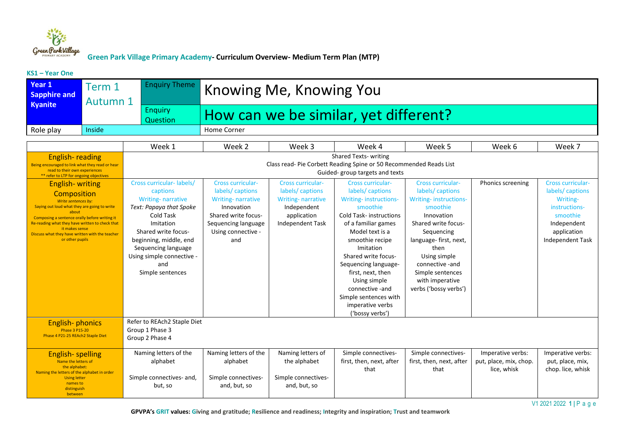

**KS1 – Year One** 

| Year <sub>1</sub><br><b>Sapphire and</b>                                                                                                                                                                                                                                                                                                                    | Term 1<br><b>Autumn 1</b> | <b>Enquiry Theme</b>                                                                                                                                                                                                                                  | Knowing Me, Knowing You                                                                                                                                          |                                                                                                                           |                                                                                                                                                                                                                                                                                                                                                                    |                                                                                                                                                                                                                                                                         |                                                            |                                                                                                                                               |  |
|-------------------------------------------------------------------------------------------------------------------------------------------------------------------------------------------------------------------------------------------------------------------------------------------------------------------------------------------------------------|---------------------------|-------------------------------------------------------------------------------------------------------------------------------------------------------------------------------------------------------------------------------------------------------|------------------------------------------------------------------------------------------------------------------------------------------------------------------|---------------------------------------------------------------------------------------------------------------------------|--------------------------------------------------------------------------------------------------------------------------------------------------------------------------------------------------------------------------------------------------------------------------------------------------------------------------------------------------------------------|-------------------------------------------------------------------------------------------------------------------------------------------------------------------------------------------------------------------------------------------------------------------------|------------------------------------------------------------|-----------------------------------------------------------------------------------------------------------------------------------------------|--|
| <b>Kyanite</b>                                                                                                                                                                                                                                                                                                                                              |                           | <b>Enquiry</b><br>Question                                                                                                                                                                                                                            | How can we be similar, yet different?                                                                                                                            |                                                                                                                           |                                                                                                                                                                                                                                                                                                                                                                    |                                                                                                                                                                                                                                                                         |                                                            |                                                                                                                                               |  |
| Role play                                                                                                                                                                                                                                                                                                                                                   | Inside                    |                                                                                                                                                                                                                                                       | Home Corner                                                                                                                                                      |                                                                                                                           |                                                                                                                                                                                                                                                                                                                                                                    |                                                                                                                                                                                                                                                                         |                                                            |                                                                                                                                               |  |
|                                                                                                                                                                                                                                                                                                                                                             |                           | Week 1                                                                                                                                                                                                                                                | Week 2                                                                                                                                                           | Week 3                                                                                                                    | Week 4                                                                                                                                                                                                                                                                                                                                                             | Week 5                                                                                                                                                                                                                                                                  | Week 6                                                     | Week 7                                                                                                                                        |  |
| <b>English-reading</b><br>Being encouraged to link what they read or hear<br>read to their own experiences                                                                                                                                                                                                                                                  |                           |                                                                                                                                                                                                                                                       | <b>Shared Texts- writing</b><br>Class read- Pie Corbett Reading Spine or 50 Recommended Reads List<br>Guided-group targets and texts                             |                                                                                                                           |                                                                                                                                                                                                                                                                                                                                                                    |                                                                                                                                                                                                                                                                         |                                                            |                                                                                                                                               |  |
| ** refer to LTP for ongoing objectives<br><b>English-writing</b><br>Composition<br>Write sentences by:<br>Saying out loud what they are going to write<br>about<br>Composing a sentence orally before writing it<br>Re-reading what they have written to check that<br>it makes sense<br>Discuss what they have written with the teacher<br>or other pupils |                           | Cross curricular-labels/<br>captions<br><b>Writing-narrative</b><br>Text: Papaya that Spoke<br>Cold Task<br>Imitation<br>Shared write focus-<br>beginning, middle, end<br>Sequencing language<br>Using simple connective -<br>and<br>Simple sentences | <b>Cross curricular-</b><br>labels/captions<br><b>Writing-narrative</b><br>Innovation<br>Shared write focus-<br>Sequencing language<br>Using connective -<br>and | <b>Cross curricular-</b><br>labels/captions<br><b>Writing-narrative</b><br>Independent<br>application<br>Independent Task | <b>Cross curricular-</b><br>labels/captions<br>Writing-instructions-<br>smoothie<br><b>Cold Task-instructions</b><br>of a familiar games<br>Model text is a<br>smoothie recipe<br>Imitation<br>Shared write focus-<br>Sequencing language-<br>first, next, then<br>Using simple<br>connective -and<br>Simple sentences with<br>imperative verbs<br>('bossy verbs') | <b>Cross curricular-</b><br>labels/captions<br>Writing-instructions-<br>smoothie<br>Innovation<br>Shared write focus-<br>Sequencing<br>language-first, next,<br>then<br>Using simple<br>connective -and<br>Simple sentences<br>with imperative<br>verbs ('bossy verbs') | Phonics screening                                          | <b>Cross curricular-</b><br>labels/captions<br>Writing-<br>instructions-<br>smoothie<br>Independent<br>application<br><b>Independent Task</b> |  |
| <b>English-phonics</b><br><b>Phase 3 P15-20</b><br>Phase 4 P21-25 REAch2 Staple Diet                                                                                                                                                                                                                                                                        |                           | Refer to REAch2 Staple Diet<br>Group 1 Phase 3<br>Group 2 Phase 4                                                                                                                                                                                     |                                                                                                                                                                  |                                                                                                                           |                                                                                                                                                                                                                                                                                                                                                                    |                                                                                                                                                                                                                                                                         |                                                            |                                                                                                                                               |  |
| <b>English-spelling</b><br>Name the letters of<br>the alphabet:<br>Naming the letters of the alphabet in order<br><b>Using letter</b><br>names to<br>distinguish<br>between                                                                                                                                                                                 |                           | Naming letters of the<br>alphabet<br>Simple connectives- and,<br>but, so                                                                                                                                                                              | Naming letters of the<br>alphabet<br>Simple connectives-<br>and, but, so                                                                                         | Naming letters of<br>the alphabet<br>Simple connectives-<br>and, but, so                                                  | Simple connectives-<br>first, then, next, after<br>that                                                                                                                                                                                                                                                                                                            | Simple connectives-<br>first, then, next, after<br>that                                                                                                                                                                                                                 | Imperative verbs:<br>put, place, mix, chop.<br>lice, whisk | Imperative verbs:<br>put, place, mix,<br>chop. lice, whisk                                                                                    |  |

V1 2021 2022 **1 |** P a g e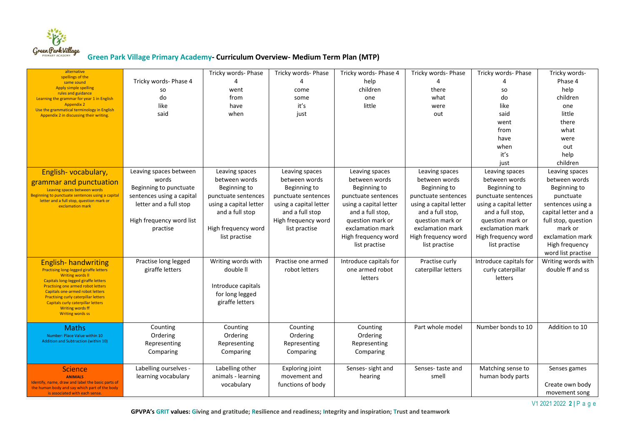

| alternative                                                                                        |                           | Tricky words- Phase    | Tricky words- Phase    | Tricky words- Phase 4  | Tricky words- Phase    | Tricky words- Phase    | Tricky words-        |
|----------------------------------------------------------------------------------------------------|---------------------------|------------------------|------------------------|------------------------|------------------------|------------------------|----------------------|
| spellings of the<br>same sound                                                                     | Tricky words- Phase 4     | $\Lambda$              | $\Lambda$              | help                   |                        |                        | Phase 4              |
| <b>Apply simple spelling</b>                                                                       | so                        | went                   | come                   | children               | there                  | so                     | help                 |
| rules and guidance<br>Learning the grammar for year 1 in English                                   | do                        | from                   | some                   | one                    | what                   | do                     | children             |
| <b>Appendix 2</b>                                                                                  | like                      | have                   | it's                   | little                 | were                   | like                   | one                  |
| Use the grammatical terminology in English<br>Appendix 2 in discussing their writing.              | said                      | when                   | just                   |                        | out                    | said                   | little               |
|                                                                                                    |                           |                        |                        |                        |                        | went                   | there                |
|                                                                                                    |                           |                        |                        |                        |                        | from                   | what                 |
|                                                                                                    |                           |                        |                        |                        |                        | have                   | were                 |
|                                                                                                    |                           |                        |                        |                        |                        | when                   | out                  |
|                                                                                                    |                           |                        |                        |                        |                        | it's                   | help                 |
|                                                                                                    |                           |                        |                        |                        |                        | just                   | children             |
| English-vocabulary,                                                                                | Leaving spaces between    | Leaving spaces         | Leaving spaces         | Leaving spaces         | Leaving spaces         | Leaving spaces         | Leaving spaces       |
| grammar and punctuation                                                                            | words                     | between words          | between words          | between words          | between words          | between words          | between words        |
| Leaving spaces between words                                                                       | Beginning to punctuate    | Beginning to           | Beginning to           | Beginning to           | Beginning to           | Beginning to           | Beginning to         |
| Beginning to punctuate sentences using a capital                                                   | sentences using a capital | punctuate sentences    | punctuate sentences    | punctuate sentences    | punctuate sentences    | punctuate sentences    | punctuate            |
| letter and a full stop, question mark or<br>exclamation mark                                       | letter and a full stop    | using a capital letter | using a capital letter | using a capital letter | using a capital letter | using a capital letter | sentences using a    |
|                                                                                                    |                           | and a full stop        | and a full stop        | and a full stop,       | and a full stop,       | and a full stop,       | capital letter and a |
|                                                                                                    | High frequency word list  |                        | High frequency word    | question mark or       | question mark or       | question mark or       | full stop, question  |
|                                                                                                    | practise                  | High frequency word    | list practise          | exclamation mark       | exclamation mark       | exclamation mark       | mark or              |
|                                                                                                    |                           | list practise          |                        | High frequency word    | High frequency word    | High frequency word    | exclamation mark     |
|                                                                                                    |                           |                        |                        | list practise          | list practise          | list practise          | High frequency       |
|                                                                                                    |                           |                        |                        |                        |                        |                        | word list practise   |
| <b>English- handwriting</b>                                                                        | Practise long legged      | Writing words with     | Practise one armed     | Introduce capitals for | Practise curly         | Introduce capitals for | Writing words with   |
| <b>Practising long-legged giraffe letters</b>                                                      | giraffe letters           | double II              | robot letters          | one armed robot        | caterpillar letters    | curly caterpillar      | double ff and ss     |
| <b>Writing words II</b><br>Capitals long-legged giraffe letters                                    |                           |                        |                        | letters                |                        | letters                |                      |
| <b>Practising one armed robot letters</b>                                                          |                           | Introduce capitals     |                        |                        |                        |                        |                      |
| <b>Capitals one-armed robot letters</b><br><b>Practising curly caterpillar letters</b>             |                           | for long legged        |                        |                        |                        |                        |                      |
| Capitals curly caterpillar letters                                                                 |                           | giraffe letters        |                        |                        |                        |                        |                      |
| <b>Writing words ff</b><br><b>Writing words ss</b>                                                 |                           |                        |                        |                        |                        |                        |                      |
|                                                                                                    |                           |                        |                        |                        |                        |                        |                      |
| <b>Maths</b>                                                                                       | Counting                  | Counting               | Counting               | Counting               | Part whole model       | Number bonds to 10     | Addition to 10       |
| Number: Place Value within 10                                                                      | Ordering                  | Ordering               | Ordering               | Ordering               |                        |                        |                      |
| Addition and Subtraction (within 10)                                                               | Representing              | Representing           | Representing           | Representing           |                        |                        |                      |
|                                                                                                    | Comparing                 | Comparing              | Comparing              | Comparing              |                        |                        |                      |
|                                                                                                    |                           |                        |                        |                        |                        |                        |                      |
| <b>Science</b>                                                                                     | Labelling ourselves -     | Labelling other        | <b>Exploring joint</b> | Senses- sight and      | Senses-taste and       | Matching sense to      | Senses games         |
| <b>ANIMALS</b>                                                                                     | learning vocabulary       | animals - learning     | movement and           | hearing                | smell                  | human body parts       |                      |
| Identify, name, draw and label the basic parts of<br>the human body and say which part of the body |                           | vocabulary             | functions of body      |                        |                        |                        | Create own body      |
| is associated with each sense.                                                                     |                           |                        |                        |                        |                        |                        | movement song        |

V1 2021 2022 **2 |** P a g e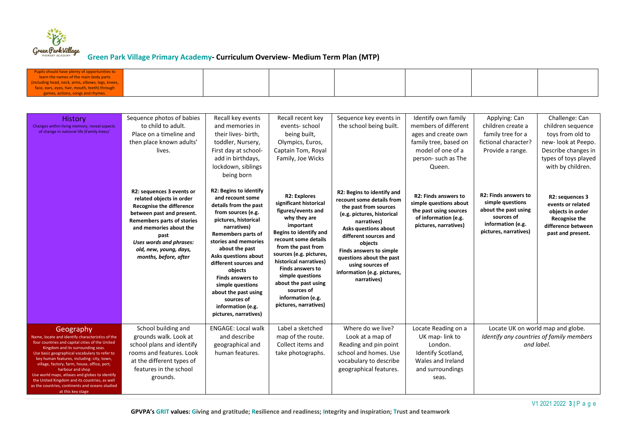

| Pupils should have plenty of opportunities to<br>learn the names of the main body parts<br>(including head, neck, arms, elbows, legs, knees<br>face, ears, eyes, hair, mouth, teeth) through<br>games, actions, songs and rhymes                                                                                                                                                                                                                                                                   |                                                                                                                                                                                                                                                                            |                                                                                                                                                                                                                                                                                                                                                                                                        |                                                                                                                                                                                                                                                                                                                                                                         |                                                                                                                                                                                                                                                                                                                    |                                                                                                                                                  |                                                                                                                                     |                                                                                                                                                   |
|----------------------------------------------------------------------------------------------------------------------------------------------------------------------------------------------------------------------------------------------------------------------------------------------------------------------------------------------------------------------------------------------------------------------------------------------------------------------------------------------------|----------------------------------------------------------------------------------------------------------------------------------------------------------------------------------------------------------------------------------------------------------------------------|--------------------------------------------------------------------------------------------------------------------------------------------------------------------------------------------------------------------------------------------------------------------------------------------------------------------------------------------------------------------------------------------------------|-------------------------------------------------------------------------------------------------------------------------------------------------------------------------------------------------------------------------------------------------------------------------------------------------------------------------------------------------------------------------|--------------------------------------------------------------------------------------------------------------------------------------------------------------------------------------------------------------------------------------------------------------------------------------------------------------------|--------------------------------------------------------------------------------------------------------------------------------------------------|-------------------------------------------------------------------------------------------------------------------------------------|---------------------------------------------------------------------------------------------------------------------------------------------------|
|                                                                                                                                                                                                                                                                                                                                                                                                                                                                                                    |                                                                                                                                                                                                                                                                            |                                                                                                                                                                                                                                                                                                                                                                                                        |                                                                                                                                                                                                                                                                                                                                                                         |                                                                                                                                                                                                                                                                                                                    |                                                                                                                                                  |                                                                                                                                     |                                                                                                                                                   |
| <b>History</b><br>Changes within living memory, reveal aspects<br>of change in national life (Family trees/                                                                                                                                                                                                                                                                                                                                                                                        | Sequence photos of babies<br>to child to adult.<br>Place on a timeline and<br>then place known adults'<br>lives.                                                                                                                                                           | Recall key events<br>and memories in<br>their lives- birth.<br>toddler, Nursery,<br>First day at school-<br>add in birthdays,<br>lockdown, siblings<br>being born                                                                                                                                                                                                                                      | Recall recent key<br>events-school<br>being built,<br>Olympics, Euros,<br>Captain Tom, Royal<br>Family, Joe Wicks                                                                                                                                                                                                                                                       | Sequence key events in<br>the school being built.                                                                                                                                                                                                                                                                  | Identify own family<br>members of different<br>ages and create own<br>family tree, based on<br>model of one of a<br>person-such as The<br>Queen. | Applying: Can<br>children create a<br>family tree for a<br>fictional character?<br>Provide a range.                                 | Challenge: Can<br>children sequence<br>toys from old to<br>new-look at Peepo.<br>Describe changes in<br>types of toys played<br>with by children. |
|                                                                                                                                                                                                                                                                                                                                                                                                                                                                                                    | R2: sequences 3 events or<br>related objects in order<br><b>Recognise the difference</b><br>between past and present.<br><b>Remembers parts of stories</b><br>and memories about the<br>past<br>Uses words and phrases:<br>old, new, young, days,<br>months, before, after | <b>R2: Begins to identify</b><br>and recount some<br>details from the past<br>from sources (e.g.<br>pictures, historical<br>narratives)<br>Remembers parts of<br>stories and memories<br>about the past<br>Asks questions about<br>different sources and<br>objects<br><b>Finds answers to</b><br>simple questions<br>about the past using<br>sources of<br>information (e.g.<br>pictures, narratives) | <b>R2: Explores</b><br>significant historical<br>figures/events and<br>why they are<br>important<br><b>Begins to identify and</b><br>recount some details<br>from the past from<br>sources (e.g. pictures,<br>historical narratives)<br><b>Finds answers to</b><br>simple questions<br>about the past using<br>sources of<br>information (e.g.<br>pictures, narratives) | R2: Begins to identify and<br>recount some details from<br>the past from sources<br>(e.g. pictures, historical<br>narratives)<br>Asks questions about<br>different sources and<br>objects<br>Finds answers to simple<br>questions about the past<br>using sources of<br>information (e.g. pictures,<br>narratives) | <b>R2: Finds answers to</b><br>simple questions about<br>the past using sources<br>of information (e.g.<br>pictures, narratives)                 | <b>R2: Finds answers to</b><br>simple questions<br>about the past using<br>sources of<br>information (e.g.<br>pictures, narratives) | R2: sequences 3<br>events or related<br>objects in order<br>Recognise the<br>difference between<br>past and present.                              |
| Geography<br>Name, locate and identify characteristics of the<br>four countries and capital cities of the United<br>Kingdom and its surrounding seas<br>Use basic geographical vocabulary to refer to<br>key human features, including: city, town,<br>village, factory, farm, house, office, port,<br>harbour and shop<br>Use world maps, atlases and globes to identify<br>the United Kingdom and its countries, as well<br>as the countries, continents and oceans studied<br>at this key stage | School building and<br>grounds walk. Look at<br>school plans and identify<br>rooms and features. Look<br>at the different types of<br>features in the school<br>grounds.                                                                                                   | <b>ENGAGE: Local walk</b><br>and describe<br>geographical and<br>human features.                                                                                                                                                                                                                                                                                                                       | Label a sketched<br>map of the route.<br>Collect items and<br>take photographs.                                                                                                                                                                                                                                                                                         | Where do we live?<br>Look at a map of<br>Reading and pin point<br>school and homes. Use<br>vocabulary to describe<br>geographical features.                                                                                                                                                                        | Locate Reading on a<br>UK map-link to<br>London.<br>Identify Scotland,<br>Wales and Ireland<br>and surroundings<br>seas.                         |                                                                                                                                     | Locate UK on world map and globe.<br>Identify any countries of family members<br>and label.                                                       |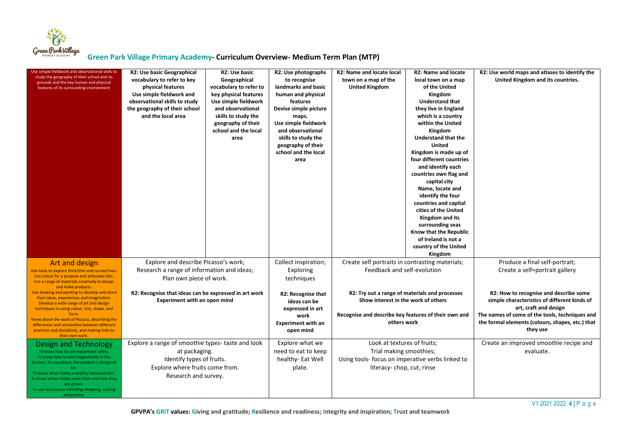

| Use simple fieldwork and observational skills to<br>study the geography of their school and its<br>grounds and the key human and physical<br>features of its surrounding environment                                                                                                                                                                                                        | R2: Use basic Geographical<br>vocabulary to refer to key<br>physical features<br>Use simple fieldwork and<br>observational skills to study<br>the geography of their school<br>and the local area | R2: Use basic<br>Geographical<br>vocabulary to refer to<br>key physical features<br>Use simple fieldwork<br>and observational<br>skills to study the<br>geography of their<br>school and the local<br>area | R2: Use photographs<br>to recognise<br>landmarks and basic<br>human and physical<br>features<br>Devise simple picture<br>maps.<br>Use simple fieldwork<br>and observational<br>skills to study the<br>geography of their<br>school and the local<br>area | R2: Name and locate local<br>town on a map of the<br><b>United Kingdom</b>                                                                                   | <b>R2: Name and locate</b><br>local town on a map<br>of the United<br>Kingdom<br><b>Understand that</b><br>they live in England<br>which is a country<br>within the United<br>Kingdom<br>Understand that the<br><b>United</b><br>Kingdom is made up of<br>four different countries<br>and identify each<br>countries own flag and<br>capital city<br>Name, locate and<br>identify the four<br>countries and capital<br>cities of the United<br>Kingdom and its<br>surrounding seas<br>Know that the Republic<br>of Ireland is not a<br>country of the United<br>Kingdom | R2: Use world maps and atlases to identify the<br>United Kingdom and its countries.                                                                                                                                               |
|---------------------------------------------------------------------------------------------------------------------------------------------------------------------------------------------------------------------------------------------------------------------------------------------------------------------------------------------------------------------------------------------|---------------------------------------------------------------------------------------------------------------------------------------------------------------------------------------------------|------------------------------------------------------------------------------------------------------------------------------------------------------------------------------------------------------------|----------------------------------------------------------------------------------------------------------------------------------------------------------------------------------------------------------------------------------------------------------|--------------------------------------------------------------------------------------------------------------------------------------------------------------|-------------------------------------------------------------------------------------------------------------------------------------------------------------------------------------------------------------------------------------------------------------------------------------------------------------------------------------------------------------------------------------------------------------------------------------------------------------------------------------------------------------------------------------------------------------------------|-----------------------------------------------------------------------------------------------------------------------------------------------------------------------------------------------------------------------------------|
| Art and design<br>Use tools to explore thick/thin and curved lines.<br>Use colour for a purpose and articulate this.<br>Use a range of materials creatively to design                                                                                                                                                                                                                       | Explore and describe Picasso's work;<br>Research a range of information and ideas;<br>Plan own piece of work.                                                                                     |                                                                                                                                                                                                            | Collect inspiration;<br>Exploring<br>techniques                                                                                                                                                                                                          | Create self portraits in contrasting materials;<br>Feedback and self-evolution                                                                               |                                                                                                                                                                                                                                                                                                                                                                                                                                                                                                                                                                         | Produce a final self-portrait;<br>Create a self=portrait gallery                                                                                                                                                                  |
| and make products.<br>Use drawing and painting to develop and share<br>their ideas, experiences and imagination.<br>Develop a wide range of art and design<br>techniques in using colour, line, shape, and<br>form.<br>Know about the work of Picasso, describing the<br>differences and similarities between different<br>practices and disciplines, and making links to<br>their own work | R2: Recognise that ideas can be expressed in art work<br>Experiment with an open mind                                                                                                             |                                                                                                                                                                                                            | R2: Recognise that<br>ideas can be<br>expressed in art<br>work<br><b>Experiment with an</b><br>open mind                                                                                                                                                 | R2: Try out a range of materials and processes<br>Show interest in the work of others<br>Recognise and describe key features of their own and<br>others work |                                                                                                                                                                                                                                                                                                                                                                                                                                                                                                                                                                         | R2: How to recognise and describe some<br>simple characteristics of different kinds of<br>art, craft and design<br>The names of some of the tools, techniques and<br>the formal elements (colours, shapes, etc.) that<br>they use |
| Design and Technology<br>To know how to use equipment safely.<br>To know how to work hygienically in the<br>citchen. To say whom, the product is designed<br>for.<br>To know what makes a healthy balanced diet.<br>To know where foods come from and how they<br>are grown.<br>To use techniques including chopping, cutting<br>and grating.                                               | Explore a range of smoothie types- taste and look<br>at packaging.<br>Identify types of fruits.<br>Explore where fruits come from.<br>Research and survey.                                        |                                                                                                                                                                                                            | Explore what we<br>need to eat to keep<br>healthy- Eat Well<br>plate.                                                                                                                                                                                    | Look at textures of fruits;<br>Trial making smoothies;<br>Using tools- focus on imperative verbs linked to<br>literacy-chop, cut, rinse                      |                                                                                                                                                                                                                                                                                                                                                                                                                                                                                                                                                                         | Create an improved smoothie recipe and<br>evaluate.                                                                                                                                                                               |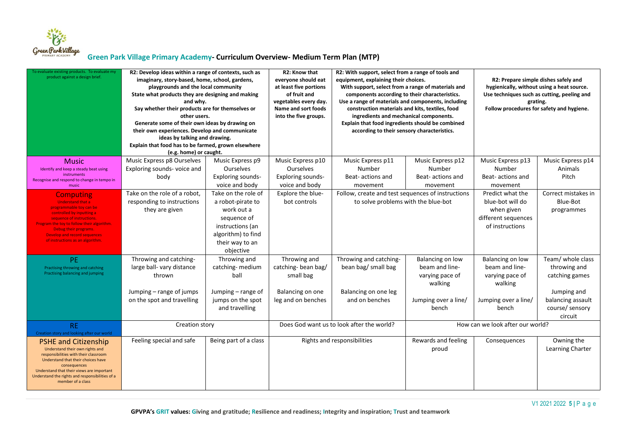

| To evaluate existing products. To evaluate my<br>product against a design brief. | R2: Develop ideas within a range of contexts, such as<br>imaginary, story-based, home, school, gardens,<br>playgrounds and the local community<br>State what products they are designing and making<br>and why.<br>Say whether their products are for themselves or<br>other users.<br>Generate some of their own ideas by drawing on<br>their own experiences. Develop and communicate<br>ideas by talking and drawing.<br>Explain that food has to be farmed, grown elsewhere<br>(e.g. home) or caught. |                                     | R2: Know that<br>everyone should eat<br>at least five portions<br>of fruit and<br>vegetables every day.<br><b>Name and sort foods</b><br>into the five groups. | R2: With support, select from a range of tools and<br>equipment, explaining their choices.<br>With support, select from a range of materials and<br>components according to their characteristics.<br>Use a range of materials and components, including<br>construction materials and kits, textiles, food<br>ingredients and mechanical components.<br>Explain that food ingredients should be combined<br>according to their sensory characteristics. |                                                   | R2: Prepare simple dishes safely and<br>hygienically, without using a heat source.<br>Use techniques such as cutting, peeling and<br>grating.<br>Follow procedures for safety and hygiene. |                            |
|----------------------------------------------------------------------------------|-----------------------------------------------------------------------------------------------------------------------------------------------------------------------------------------------------------------------------------------------------------------------------------------------------------------------------------------------------------------------------------------------------------------------------------------------------------------------------------------------------------|-------------------------------------|----------------------------------------------------------------------------------------------------------------------------------------------------------------|----------------------------------------------------------------------------------------------------------------------------------------------------------------------------------------------------------------------------------------------------------------------------------------------------------------------------------------------------------------------------------------------------------------------------------------------------------|---------------------------------------------------|--------------------------------------------------------------------------------------------------------------------------------------------------------------------------------------------|----------------------------|
| <b>Music</b>                                                                     | Music Express p8 Ourselves                                                                                                                                                                                                                                                                                                                                                                                                                                                                                | Music Express p9                    | Music Express p10                                                                                                                                              | Music Express p11                                                                                                                                                                                                                                                                                                                                                                                                                                        | Music Express p12                                 | Music Express p13                                                                                                                                                                          | Music Express p14          |
| Identify and keep a steady beat using                                            | Exploring sounds-voice and                                                                                                                                                                                                                                                                                                                                                                                                                                                                                | <b>Ourselves</b>                    | Ourselves                                                                                                                                                      | Number                                                                                                                                                                                                                                                                                                                                                                                                                                                   | Number                                            | Number                                                                                                                                                                                     | Animals                    |
| instruments<br>Recognise and respond to change in tempo in<br>music              | body                                                                                                                                                                                                                                                                                                                                                                                                                                                                                                      | Exploring sounds-<br>voice and body | Exploring sounds-<br>voice and body                                                                                                                            | Beat-actions and<br>movement                                                                                                                                                                                                                                                                                                                                                                                                                             | Beat-actions and<br>movement                      | Beat-actions and<br>movement                                                                                                                                                               | Pitch                      |
| <b>Computing</b>                                                                 | Take on the role of a robot,                                                                                                                                                                                                                                                                                                                                                                                                                                                                              | Take on the role of                 | Explore the blue-                                                                                                                                              |                                                                                                                                                                                                                                                                                                                                                                                                                                                          | Follow, create and test sequences of instructions |                                                                                                                                                                                            | Correct mistakes in        |
| <b>Understand that a</b>                                                         | responding to instructions                                                                                                                                                                                                                                                                                                                                                                                                                                                                                | a robot-pirate to                   | bot controls                                                                                                                                                   | to solve problems with the blue-bot                                                                                                                                                                                                                                                                                                                                                                                                                      |                                                   | blue-bot will do                                                                                                                                                                           | Blue-Bot                   |
| programmable toy can be<br>controlled by inputting a                             | they are given                                                                                                                                                                                                                                                                                                                                                                                                                                                                                            | work out a                          |                                                                                                                                                                |                                                                                                                                                                                                                                                                                                                                                                                                                                                          |                                                   | when given                                                                                                                                                                                 | programmes                 |
| sequence of instructions.                                                        |                                                                                                                                                                                                                                                                                                                                                                                                                                                                                                           | sequence of                         |                                                                                                                                                                |                                                                                                                                                                                                                                                                                                                                                                                                                                                          |                                                   | different sequences                                                                                                                                                                        |                            |
| Program the toy to follow their algorithm.<br>Debug their programs.              |                                                                                                                                                                                                                                                                                                                                                                                                                                                                                                           | instructions (an                    |                                                                                                                                                                |                                                                                                                                                                                                                                                                                                                                                                                                                                                          |                                                   | of instructions                                                                                                                                                                            |                            |
| <b>Develop and record sequences</b>                                              |                                                                                                                                                                                                                                                                                                                                                                                                                                                                                                           | algorithm) to find                  |                                                                                                                                                                |                                                                                                                                                                                                                                                                                                                                                                                                                                                          |                                                   |                                                                                                                                                                                            |                            |
| of instructions as an algorithm.                                                 |                                                                                                                                                                                                                                                                                                                                                                                                                                                                                                           | their way to an                     |                                                                                                                                                                |                                                                                                                                                                                                                                                                                                                                                                                                                                                          |                                                   |                                                                                                                                                                                            |                            |
|                                                                                  |                                                                                                                                                                                                                                                                                                                                                                                                                                                                                                           | objective                           |                                                                                                                                                                |                                                                                                                                                                                                                                                                                                                                                                                                                                                          |                                                   |                                                                                                                                                                                            |                            |
| <b>PE</b>                                                                        | Throwing and catching-                                                                                                                                                                                                                                                                                                                                                                                                                                                                                    | Throwing and                        | Throwing and                                                                                                                                                   | Throwing and catching-                                                                                                                                                                                                                                                                                                                                                                                                                                   | Balancing on low                                  | Balancing on low                                                                                                                                                                           | Team/ whole class          |
| Practising throwing and catching<br>Practising balancing and jumping             | large ball- vary distance                                                                                                                                                                                                                                                                                                                                                                                                                                                                                 | catching-medium                     | catching-bean bag/                                                                                                                                             | bean bag/ small bag                                                                                                                                                                                                                                                                                                                                                                                                                                      | beam and line-                                    | beam and line-                                                                                                                                                                             | throwing and               |
|                                                                                  | thrown                                                                                                                                                                                                                                                                                                                                                                                                                                                                                                    | ball                                | small bag                                                                                                                                                      |                                                                                                                                                                                                                                                                                                                                                                                                                                                          | varying pace of<br>walking                        | varying pace of<br>walking                                                                                                                                                                 | catching games             |
|                                                                                  | Jumping – range of jumps                                                                                                                                                                                                                                                                                                                                                                                                                                                                                  | Jumping $-$ range of                | Balancing on one                                                                                                                                               | Balancing on one leg                                                                                                                                                                                                                                                                                                                                                                                                                                     |                                                   |                                                                                                                                                                                            | Jumping and                |
|                                                                                  | on the spot and travelling                                                                                                                                                                                                                                                                                                                                                                                                                                                                                | jumps on the spot                   | leg and on benches                                                                                                                                             | and on benches                                                                                                                                                                                                                                                                                                                                                                                                                                           | Jumping over a line/                              | Jumping over a line/                                                                                                                                                                       | balancing assault          |
|                                                                                  |                                                                                                                                                                                                                                                                                                                                                                                                                                                                                                           | and travelling                      |                                                                                                                                                                |                                                                                                                                                                                                                                                                                                                                                                                                                                                          | bench                                             | bench                                                                                                                                                                                      | course/ sensory<br>circuit |
| <b>RE</b>                                                                        | Creation story                                                                                                                                                                                                                                                                                                                                                                                                                                                                                            |                                     |                                                                                                                                                                | Does God want us to look after the world?                                                                                                                                                                                                                                                                                                                                                                                                                |                                                   | How can we look after our world?                                                                                                                                                           |                            |
| Creation story and looking after our world                                       |                                                                                                                                                                                                                                                                                                                                                                                                                                                                                                           |                                     |                                                                                                                                                                |                                                                                                                                                                                                                                                                                                                                                                                                                                                          |                                                   |                                                                                                                                                                                            |                            |
| <b>PSHE and Citizenship</b>                                                      | Feeling special and safe                                                                                                                                                                                                                                                                                                                                                                                                                                                                                  | Being part of a class               |                                                                                                                                                                | Rights and responsibilities                                                                                                                                                                                                                                                                                                                                                                                                                              | Rewards and feeling                               | Consequences                                                                                                                                                                               | Owning the                 |
| Understand their own rights and                                                  |                                                                                                                                                                                                                                                                                                                                                                                                                                                                                                           |                                     |                                                                                                                                                                |                                                                                                                                                                                                                                                                                                                                                                                                                                                          | proud                                             |                                                                                                                                                                                            | Learning Charter           |
| responsibilities with their classroom<br>Understand that their choices have      |                                                                                                                                                                                                                                                                                                                                                                                                                                                                                                           |                                     |                                                                                                                                                                |                                                                                                                                                                                                                                                                                                                                                                                                                                                          |                                                   |                                                                                                                                                                                            |                            |
| consequences<br>Understand that their views are important                        |                                                                                                                                                                                                                                                                                                                                                                                                                                                                                                           |                                     |                                                                                                                                                                |                                                                                                                                                                                                                                                                                                                                                                                                                                                          |                                                   |                                                                                                                                                                                            |                            |
| Understand the rights and responsibilities of a                                  |                                                                                                                                                                                                                                                                                                                                                                                                                                                                                                           |                                     |                                                                                                                                                                |                                                                                                                                                                                                                                                                                                                                                                                                                                                          |                                                   |                                                                                                                                                                                            |                            |
| member of a class                                                                |                                                                                                                                                                                                                                                                                                                                                                                                                                                                                                           |                                     |                                                                                                                                                                |                                                                                                                                                                                                                                                                                                                                                                                                                                                          |                                                   |                                                                                                                                                                                            |                            |